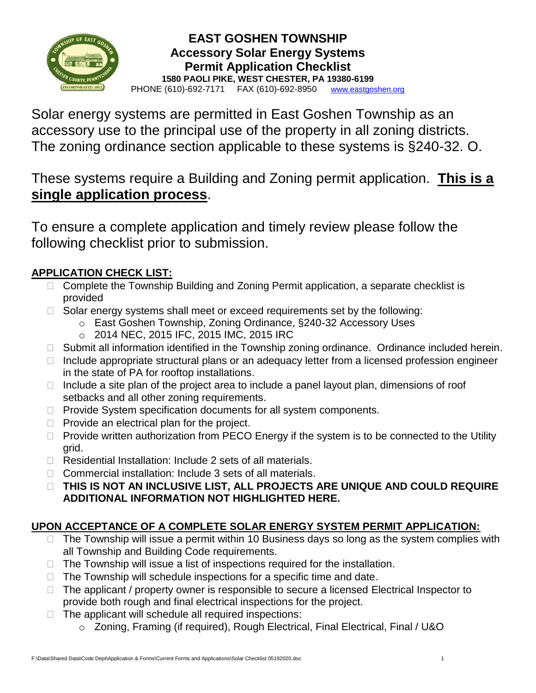

## **EAST GOSHEN TOWNSHIP Accessory Solar Energy Systems Permit Application Checklist 1580 PAOLI PIKE, WEST CHESTER, PA 19380-6199** PHONE (610)-692-7171 FAX (610)-692-8950[www.eastgoshen.org](http://www.eastgoshen.org/)

Solar energy systems are permitted in East Goshen Township as an accessory use to the principal use of the property in all zoning districts. The zoning ordinance section applicable to these systems is §240-32. O.

These systems require a Building and Zoning permit application. **This is a single application process**.

To ensure a complete application and timely review please follow the following checklist prior to submission.

## **APPLICATION CHECK LIST:**

- □ Complete the Township Building and Zoning Permit application, a separate checklist is provided
- $\Box$  Solar energy systems shall meet or exceed requirements set by the following:
	- o East Goshen Township, Zoning Ordinance, §240-32 Accessory Uses
	- o 2014 NEC, 2015 IFC, 2015 IMC, 2015 IRC
- $\Box$  Submit all information identified in the Township zoning ordinance. Ordinance included herein.
- $\Box$  Include appropriate structural plans or an adequacy letter from a licensed profession engineer in the state of PA for rooftop installations.
- $\Box$  Include a site plan of the project area to include a panel layout plan, dimensions of roof setbacks and all other zoning requirements.
- $\Box$  Provide System specification documents for all system components.
- $\Box$  Provide an electrical plan for the project.
- $\Box$  Provide written authorization from PECO Energy if the system is to be connected to the Utility grid.
- $\Box$  Residential Installation: Include 2 sets of all materials.
- $\Box$  Commercial installation: Include 3 sets of all materials.
- **THIS IS NOT AN INCLUSIVE LIST, ALL PROJECTS ARE UNIQUE AND COULD REQUIRE ADDITIONAL INFORMATION NOT HIGHLIGHTED HERE.**

## **UPON ACCEPTANCE OF A COMPLETE SOLAR ENERGY SYSTEM PERMIT APPLICATION:**

- $\Box$  The Township will issue a permit within 10 Business days so long as the system complies with all Township and Building Code requirements.
- $\Box$  The Township will issue a list of inspections required for the installation.
- $\Box$  The Township will schedule inspections for a specific time and date.
- $\Box$  The applicant / property owner is responsible to secure a licensed Electrical Inspector to provide both rough and final electrical inspections for the project.
- $\Box$  The applicant will schedule all required inspections:
	- o Zoning, Framing (if required), Rough Electrical, Final Electrical, Final / U&O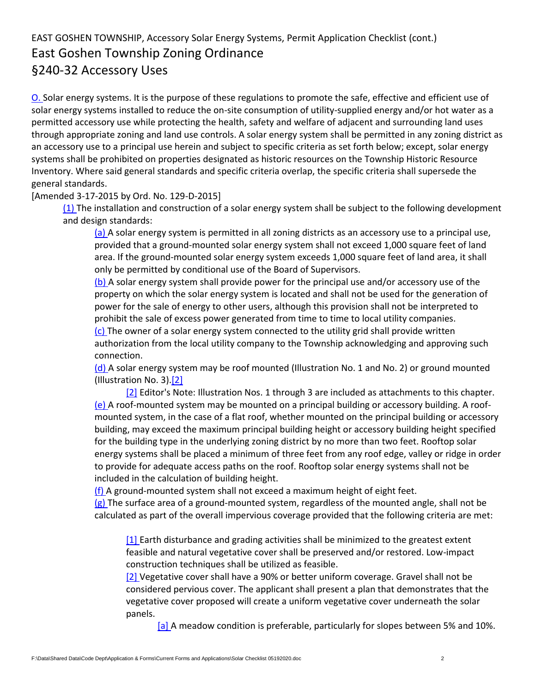## EAST GOSHEN TOWNSHIP, Accessory Solar Energy Systems, Permit Application Checklist (cont.) East Goshen Township Zoning Ordinance §240-32 Accessory Uses

[O.](https://ecode360.com/7255167#7255167) Solar energy systems. It is the purpose of these regulations to promote the safe, effective and efficient use of solar energy systems installed to reduce the on-site consumption of utility-supplied energy and/or hot water as a permitted accessory use while protecting the health, safety and welfare of adjacent and surrounding land uses through appropriate zoning and land use controls. A solar energy system shall be permitted in any zoning district as an accessory use to a principal use herein and subject to specific criteria as set forth below; except, solar energy systems shall be prohibited on properties designated as historic resources on the Township Historic Resource Inventory. Where said general standards and specific criteria overlap, the specific criteria shall supersede the general standards.

[Amended 3-17-2015 by Ord. No. 129-D-2015]

[\(1\)](https://ecode360.com/30424129#30424129) The installation and construction of a solar energy system shall be subject to the following development and design standards:

[\(a\)](https://ecode360.com/30424130#30424130) A solar energy system is permitted in all zoning districts as an accessory use to a principal use, provided that a ground-mounted solar energy system shall not exceed 1,000 square feet of land area. If the ground-mounted solar energy system exceeds 1,000 square feet of land area, it shall only be permitted by conditional use of the Board of Supervisors.

[\(b\)](https://ecode360.com/30424131#30424131) A solar energy system shall provide power for the principal use and/or accessory use of the property on which the solar energy system is located and shall not be used for the generation of power for the sale of energy to other users, although this provision shall not be interpreted to prohibit the sale of excess power generated from time to time to local utility companies.  $(c)$  The owner of a solar energy system connected to the utility grid shall provide written

authorization from the local utility company to the Township acknowledging and approving such connection.

 $(d)$  A solar energy system may be roof mounted (Illustration No. 1 and No. 2) or ground mounted (Illustration No. 3)[.\[2\]](https://ecode360.com/7255049#ft30424133-2)

[\[2\]](https://ecode360.com/7255049#ref30424133-2) Editor's Note: Illustration Nos. 1 through 3 are included as attachments to this chapter. [\(e\)](https://ecode360.com/30424134#30424134) A roof-mounted system may be mounted on a principal building or accessory building. A roofmounted system, in the case of a flat roof, whether mounted on the principal building or accessory building, may exceed the maximum principal building height or accessory building height specified for the building type in the underlying zoning district by no more than two feet. Rooftop solar energy systems shall be placed a minimum of three feet from any roof edge, valley or ridge in order to provide for adequate access paths on the roof. Rooftop solar energy systems shall not be included in the calculation of building height.

[\(f\)](https://ecode360.com/30424135#30424135) A ground-mounted system shall not exceed a maximum height of eight feet.

 $(g)$  The surface area of a ground-mounted system, regardless of the mounted angle, shall not be calculated as part of the overall impervious coverage provided that the following criteria are met:

[\[1\]](https://ecode360.com/30424137#30424137) Earth disturbance and grading activities shall be minimized to the greatest extent feasible and natural vegetative cover shall be preserved and/or restored. Low-impact construction techniques shall be utilized as feasible.

[\[2\]](https://ecode360.com/30424138#30424138) Vegetative cover shall have a 90% or better uniform coverage. Gravel shall not be considered pervious cover. The applicant shall present a plan that demonstrates that the vegetative cover proposed will create a uniform vegetative cover underneath the solar panels.

[\[a\]](https://ecode360.com/30424139#30424139) A meadow condition is preferable, particularly for slopes between 5% and 10%.